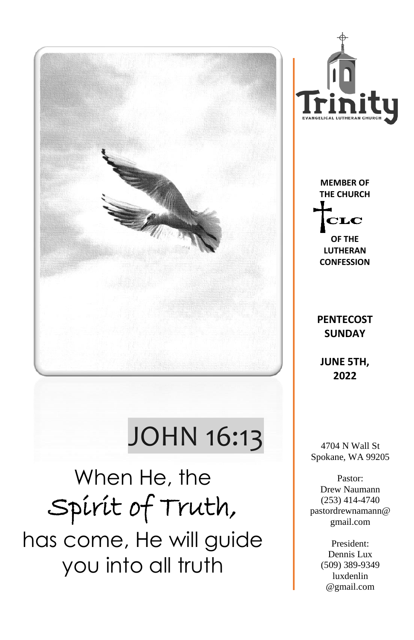

# JOHN 16:13

When He, the Spirit of Truth, has come, He will guide you into all truth



**MEMBER OF THE CHURCH**  ${\bf CLC}$ 

**OF THE LUTHERAN CONFESSION**

#### **PENTECOST SUNDAY**

**JUNE 5TH, 2022**

4704 N Wall St Spokane, WA 99205

Pastor: Drew Naumann (253) 414-4740 pastordrewnamann@ gmail.com

> President: Dennis Lux (509) 389-9349 luxdenlin @gmail.com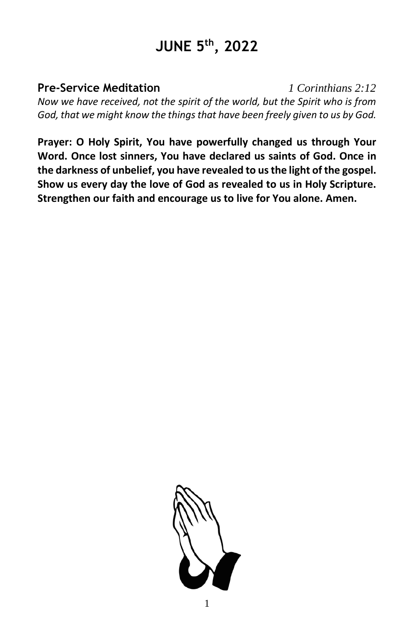## **JUNE 5 th, 2022**

**Pre-Service Meditation** *1 Corinthians 2:12 Now we have received, not the spirit of the world, but the Spirit who is from God, that we might know the things that have been freely given to us by God.*

**Prayer: O Holy Spirit, You have powerfully changed us through Your Word. Once lost sinners, You have declared us saints of God. Once in the darkness of unbelief, you have revealed to us the light of the gospel. Show us every day the love of God as revealed to us in Holy Scripture. Strengthen our faith and encourage us to live for You alone. Amen.**

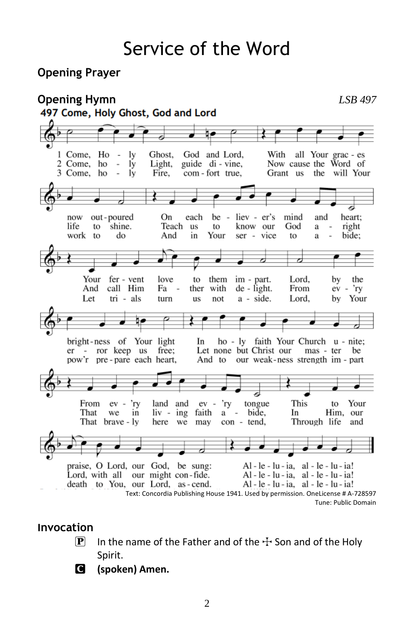## Service of the Word

#### **Opening Prayer**



#### **Invocation**

- $\boxed{\mathbf{P}}$  In the name of the Father and of the  $\div$  Son and of the Holy Spirit.
- C **(spoken) Amen.**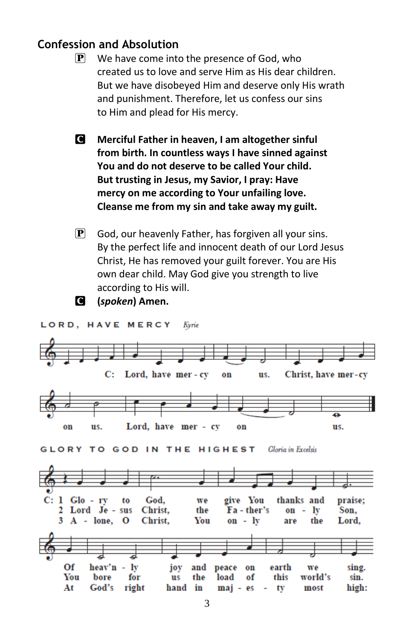#### **Confession and Absolution**

- $\mathbf{P}$  We have come into the presence of God, who created us to love and serve Him as His dear children. But we have disobeyed Him and deserve only His wrath and punishment. Therefore, let us confess our sins to Him and plead for His mercy.
- C **Merciful Father in heaven, I am altogether sinful from birth. In countless ways I have sinned against You and do not deserve to be called Your child. But trusting in Jesus, my Savior, I pray: Have mercy on me according to Your unfailing love. Cleanse me from my sin and take away my guilt.**
- $\mathbf{P}$  God, our heavenly Father, has forgiven all your sins. By the perfect life and innocent death of our Lord Jesus Christ, He has removed your guilt forever. You are His own dear child. May God give you strength to live according to His will.



C **(***spoken***) Amen.**

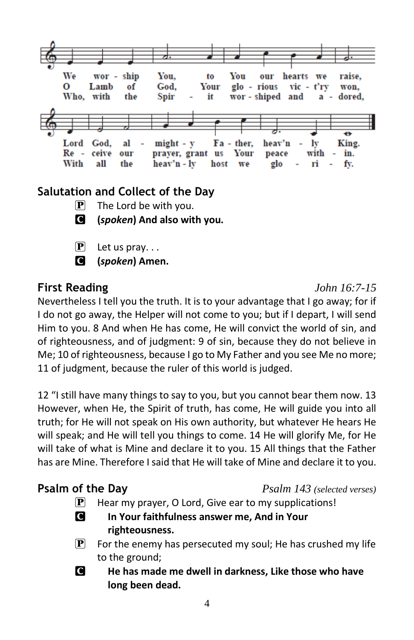

### **Salutation and Collect of the Day**

- $\mathbf{P}$  The Lord be with you.
- C **(***spoken***) And also with you.**
- $\mathbf{P}$  Let us pray...
- C **(***spoken***) Amen.**

### **First Reading** *John 16:7-15*

Nevertheless I tell you the truth. It is to your advantage that I go away; for if I do not go away, the Helper will not come to you; but if I depart, I will send Him to you. 8 And when He has come, He will convict the world of sin, and of righteousness, and of judgment: 9 of sin, because they do not believe in Me; 10 of righteousness, because I go to My Father and you see Me no more; 11 of judgment, because the ruler of this world is judged.

12 "I still have many things to say to you, but you cannot bear them now. 13 However, when He, the Spirit of truth, has come, He will guide you into all truth; for He will not speak on His own authority, but whatever He hears He will speak; and He will tell you things to come. 14 He will glorify Me, for He will take of what is Mine and declare it to you. 15 All things that the Father has are Mine. Therefore I said that He will take of Mine and declare it to you.

**Psalm of the Day** *Psalm 143 (selected verses)*

- $\mathbf{P}$  Hear my prayer, O Lord, Give ear to my supplications!
- C **In Your faithfulness answer me, And in Your righteousness.**
- $\mathbf{P}$  For the enemy has persecuted my soul; He has crushed my life to the ground;
- C **He has made me dwell in darkness, Like those who have long been dead.**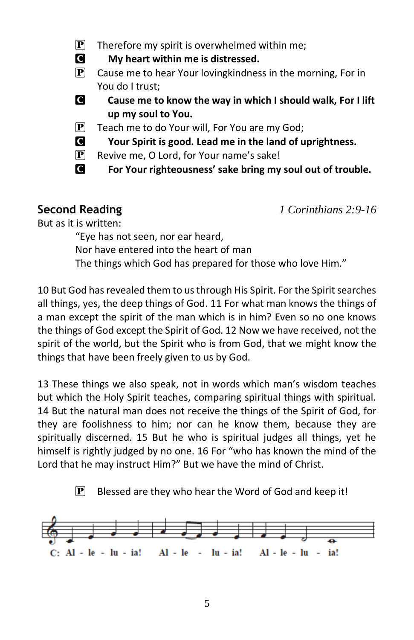- $\mathbf{P}$  Therefore my spirit is overwhelmed within me;
- C **My heart within me is distressed.**
- $\mathbf{P}$  Cause me to hear Your loving kindness in the morning, For in You do I trust;
- C **Cause me to know the way in which I should walk, For I lift up my soul to You.**
- $\left| \mathbf{P} \right|$  Teach me to do Your will, For You are my God;
- C **Your Spirit is good. Lead me in the land of uprightness.**
- $\mathbf{P}$  Revive me, O Lord, for Your name's sake!
- **C** For Your righteousness' sake bring my soul out of trouble.

**Second Reading** *1 Corinthians 2:9-16*

But as it is written:

"Eye has not seen, nor ear heard,

Nor have entered into the heart of man

The things which God has prepared for those who love Him."

10 But God has revealed them to us through His Spirit. For the Spirit searches all things, yes, the deep things of God. 11 For what man knows the things of a man except the spirit of the man which is in him? Even so no one knows the things of God except the Spirit of God. 12 Now we have received, not the spirit of the world, but the Spirit who is from God, that we might know the things that have been freely given to us by God.

13 These things we also speak, not in words which man's wisdom teaches but which the Holy Spirit teaches, comparing spiritual things with spiritual. 14 But the natural man does not receive the things of the Spirit of God, for they are foolishness to him; nor can he know them, because they are spiritually discerned. 15 But he who is spiritual judges all things, yet he himself is rightly judged by no one. 16 For "who has known the mind of the Lord that he may instruct Him?" But we have the mind of Christ.

 $\mathbf{P}$  Blessed are they who hear the Word of God and keep it!

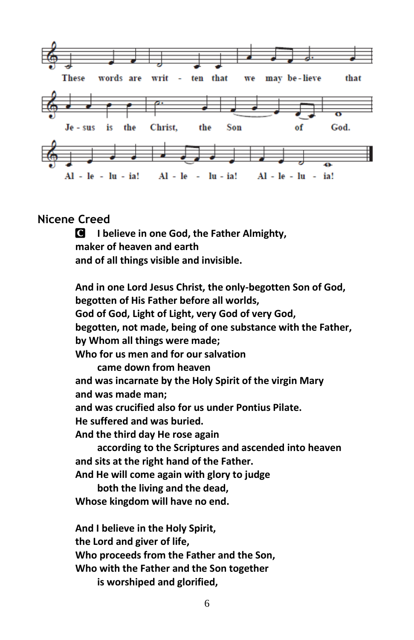

#### **Nicene Creed**

C **I believe in one God, the Father Almighty, maker of heaven and earth and of all things visible and invisible.**

**And in one Lord Jesus Christ, the only-begotten Son of God, begotten of His Father before all worlds, God of God, Light of Light, very God of very God, begotten, not made, being of one substance with the Father, by Whom all things were made; Who for us men and for our salvation came down from heaven and was incarnate by the Holy Spirit of the virgin Mary and was made man; and was crucified also for us under Pontius Pilate. He suffered and was buried. And the third day He rose again according to the Scriptures and ascended into heaven and sits at the right hand of the Father. And He will come again with glory to judge both the living and the dead, Whose kingdom will have no end. And I believe in the Holy Spirit, the Lord and giver of life, Who proceeds from the Father and the Son, Who with the Father and the Son together**

**is worshiped and glorified,**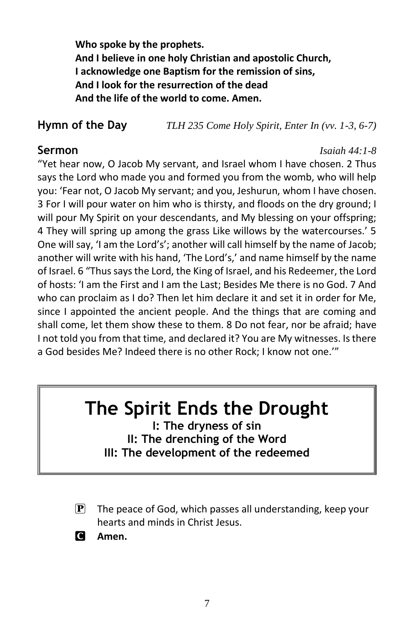**Who spoke by the prophets. And I believe in one holy Christian and apostolic Church, I acknowledge one Baptism for the remission of sins, And I look for the resurrection of the dead And the life of the world to come. Amen.**

**Hymn of the Day** *TLH 235 Come Holy Spirit, Enter In (vv. 1-3, 6-7)*

**Sermon** *Isaiah 44:1-8*

"Yet hear now, O Jacob My servant, and Israel whom I have chosen. 2 Thus says the Lord who made you and formed you from the womb, who will help you: 'Fear not, O Jacob My servant; and you, Jeshurun, whom I have chosen. 3 For I will pour water on him who is thirsty, and floods on the dry ground; I will pour My Spirit on your descendants, and My blessing on your offspring; 4 They will spring up among the grass Like willows by the watercourses.' 5 One will say, 'I am the Lord's'; another will call himself by the name of Jacob; another will write with his hand, 'The Lord's,' and name himself by the name of Israel. 6 "Thus says the Lord, the King of Israel, and his Redeemer, the Lord of hosts: 'I am the First and I am the Last; Besides Me there is no God. 7 And who can proclaim as I do? Then let him declare it and set it in order for Me, since I appointed the ancient people. And the things that are coming and shall come, let them show these to them. 8 Do not fear, nor be afraid; have I not told you from that time, and declared it? You are My witnesses. Is there a God besides Me? Indeed there is no other Rock; I know not one.'"

## **The Spirit Ends the Drought**

**I: The dryness of sin II: The drenching of the Word III: The development of the redeemed**

 $\mathbf{P}$  The peace of God, which passes all understanding, keep your hearts and minds in Christ Jesus.

C **Amen.**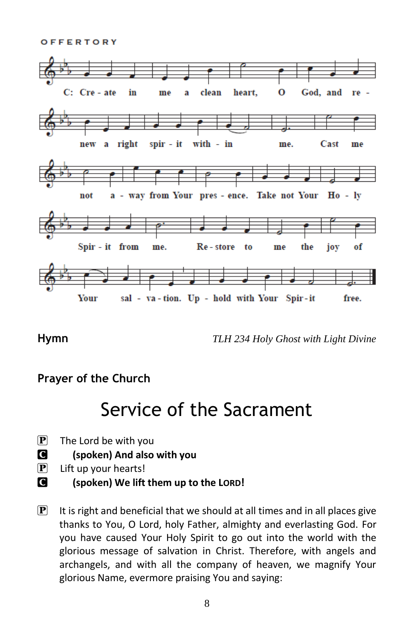OFFERTORY



**Hymn** *TLH 234 Holy Ghost with Light Divine*

#### **Prayer of the Church**

## Service of the Sacrament

- $\mathbf{P}$  The Lord be with you
- C **(spoken) And also with you**
- $\left| \mathbf{P} \right|$  Lift up your hearts!
- C **(spoken) We lift them up to the LORD!**
- $\mathbf{P}$  It is right and beneficial that we should at all times and in all places give thanks to You, O Lord, holy Father, almighty and everlasting God. For you have caused Your Holy Spirit to go out into the world with the glorious message of salvation in Christ. Therefore, with angels and archangels, and with all the company of heaven, we magnify Your glorious Name, evermore praising You and saying: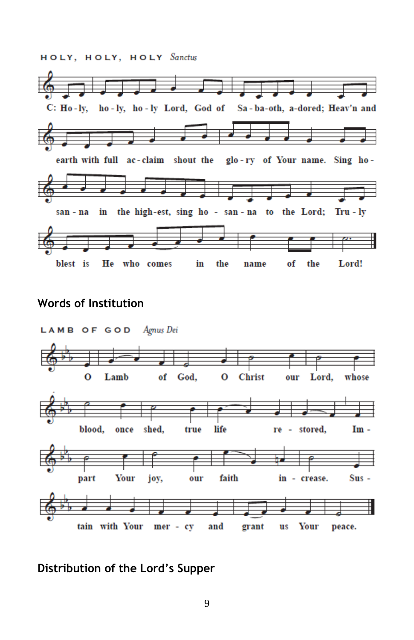HOLY, HOLY, HOLY Sanctus ركوب والتواطئ C: Ho-ly, ho-ly, ho-ly Lord, God of Sa-ba-oth, a-dored; Heav'n and earth with full ac-claim shout the glo-ry of Your name. Sing hoin the high-est, sing ho - san-na to the Lord; Tru-ly san - na blest is He who comes in the Lord! the name of

#### **Words of Institution**



**Distribution of the Lord's Supper**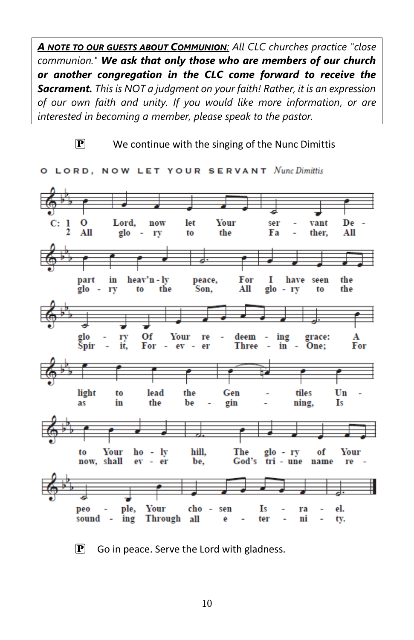*A NOTE TO OUR GUESTS ABOUT COMMUNION: All CLC churches practice "close communion." We ask that only those who are members of our church or another congregation in the CLC come forward to receive the Sacrament. This is NOT a judgment on your faith! Rather, it is an expression of our own faith and unity. If you would like more information, or are interested in becoming a member, please speak to the pastor.*

$$
\overline{\mathbf{P}}
$$

We continue with the singing of the Nunc Dimittis



O LORD, NOW LET YOUR SERVANT Nunc Dimittis

 $\left[ \mathbf{P} \right]$  Go in peace. Serve the Lord with gladness.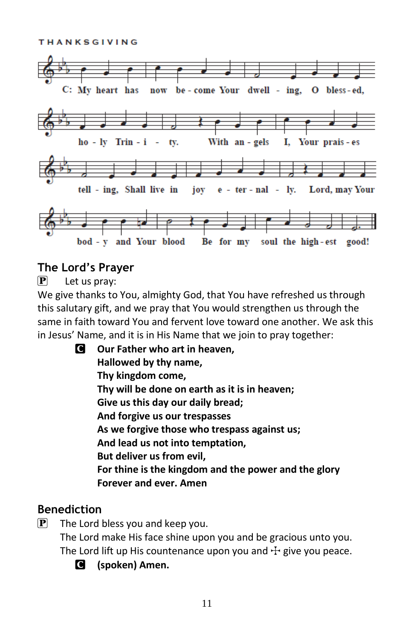**THANKSGIVING** 



#### **The Lord's Prayer**

 $\mathbf{P}$  Let us pray:

We give thanks to You, almighty God, that You have refreshed us through this salutary gift, and we pray that You would strengthen us through the same in faith toward You and fervent love toward one another. We ask this in Jesus' Name, and it is in His Name that we join to pray together:

C **Our Father who art in heaven, Hallowed by thy name, Thy kingdom come, Thy will be done on earth as it is in heaven; Give us this day our daily bread; And forgive us our trespasses As we forgive those who trespass against us; And lead us not into temptation, But deliver us from evil, For thine is the kingdom and the power and the glory Forever and ever. Amen**

#### **Benediction**

- $\left| \mathbf{P} \right|$  The Lord bless you and keep you. The Lord make His face shine upon you and be gracious unto you. The Lord lift up His countenance upon you and  $\pm$  give you peace.
	- C **(spoken) Amen.**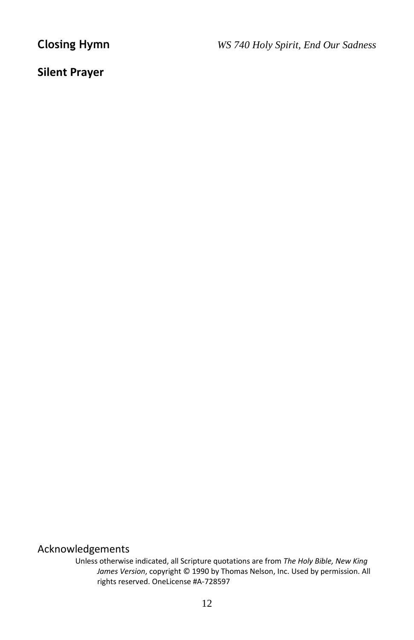**Closing Hymn** *WS 740 Holy Spirit, End Our Sadness*

#### **Silent Prayer**

#### Acknowledgements

Unless otherwise indicated, all Scripture quotations are from *The Holy Bible, New King James Version*, copyright © 1990 by Thomas Nelson, Inc. Used by permission. All rights reserved. OneLicense #A-728597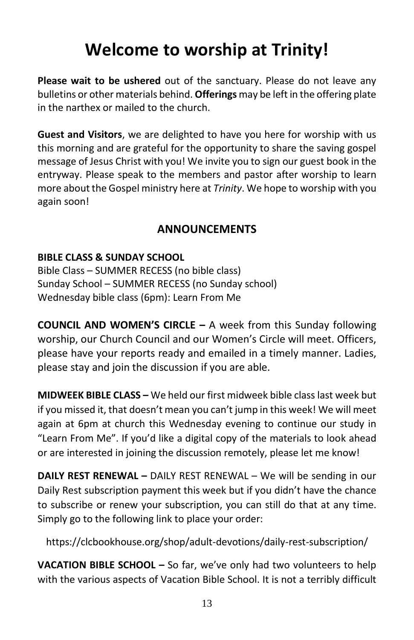## **Welcome to worship at Trinity!**

**Please wait to be ushered** out of the sanctuary. Please do not leave any bulletins or other materials behind. **Offerings** may be left in the offering plate in the narthex or mailed to the church.

**Guest and Visitors**, we are delighted to have you here for worship with us this morning and are grateful for the opportunity to share the saving gospel message of Jesus Christ with you! We invite you to sign our guest book in the entryway. Please speak to the members and pastor after worship to learn more about the Gospel ministry here at *Trinity*. We hope to worship with you again soon!

### **ANNOUNCEMENTS**

#### **BIBLE CLASS & SUNDAY SCHOOL**

Bible Class – SUMMER RECESS (no bible class) Sunday School – SUMMER RECESS (no Sunday school) Wednesday bible class (6pm): Learn From Me

**COUNCIL AND WOMEN'S CIRCLE –** A week from this Sunday following worship, our Church Council and our Women's Circle will meet. Officers, please have your reports ready and emailed in a timely manner. Ladies, please stay and join the discussion if you are able.

**MIDWEEK BIBLE CLASS –** We held our first midweek bible class last week but if you missed it, that doesn't mean you can't jump in this week! We will meet again at 6pm at church this Wednesday evening to continue our study in "Learn From Me". If you'd like a digital copy of the materials to look ahead or are interested in joining the discussion remotely, please let me know!

**DAILY REST RENEWAL –** DAILY REST RENEWAL – We will be sending in our Daily Rest subscription payment this week but if you didn't have the chance to subscribe or renew your subscription, you can still do that at any time. Simply go to the following link to place your order:

https://clcbookhouse.org/shop/adult-devotions/daily-rest-subscription/

**VACATION BIBLE SCHOOL –** So far, we've only had two volunteers to help with the various aspects of Vacation Bible School. It is not a terribly difficult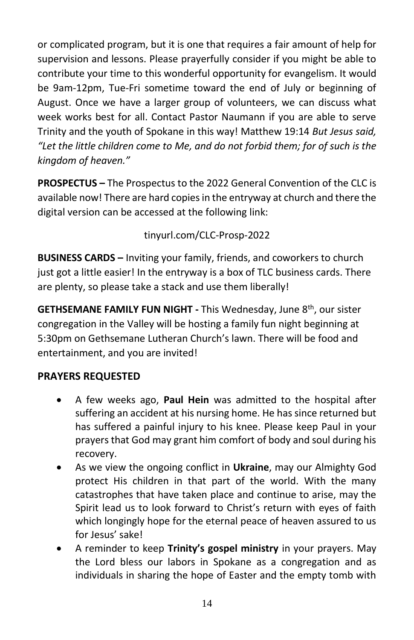or complicated program, but it is one that requires a fair amount of help for supervision and lessons. Please prayerfully consider if you might be able to contribute your time to this wonderful opportunity for evangelism. It would be 9am-12pm, Tue-Fri sometime toward the end of July or beginning of August. Once we have a larger group of volunteers, we can discuss what week works best for all. Contact Pastor Naumann if you are able to serve Trinity and the youth of Spokane in this way! Matthew 19:14 *But Jesus said, "Let the little children come to Me, and do not forbid them; for of such is the kingdom of heaven."*

**PROSPECTUS –** The Prospectus to the 2022 General Convention of the CLC is available now! There are hard copies in the entryway at church and there the digital version can be accessed at the following link:

tinyurl.com/CLC-Prosp-2022

**BUSINESS CARDS –** Inviting your family, friends, and coworkers to church just got a little easier! In the entryway is a box of TLC business cards. There are plenty, so please take a stack and use them liberally!

**GETHSEMANE FAMILY FUN NIGHT - This Wednesday, June 8<sup>th</sup>, our sister** congregation in the Valley will be hosting a family fun night beginning at 5:30pm on Gethsemane Lutheran Church's lawn. There will be food and entertainment, and you are invited!

#### **PRAYERS REQUESTED**

- A few weeks ago, **Paul Hein** was admitted to the hospital after suffering an accident at his nursing home. He has since returned but has suffered a painful injury to his knee. Please keep Paul in your prayers that God may grant him comfort of body and soul during his recovery.
- As we view the ongoing conflict in **Ukraine**, may our Almighty God protect His children in that part of the world. With the many catastrophes that have taken place and continue to arise, may the Spirit lead us to look forward to Christ's return with eyes of faith which longingly hope for the eternal peace of heaven assured to us for Jesus' sake!
- A reminder to keep **Trinity's gospel ministry** in your prayers. May the Lord bless our labors in Spokane as a congregation and as individuals in sharing the hope of Easter and the empty tomb with